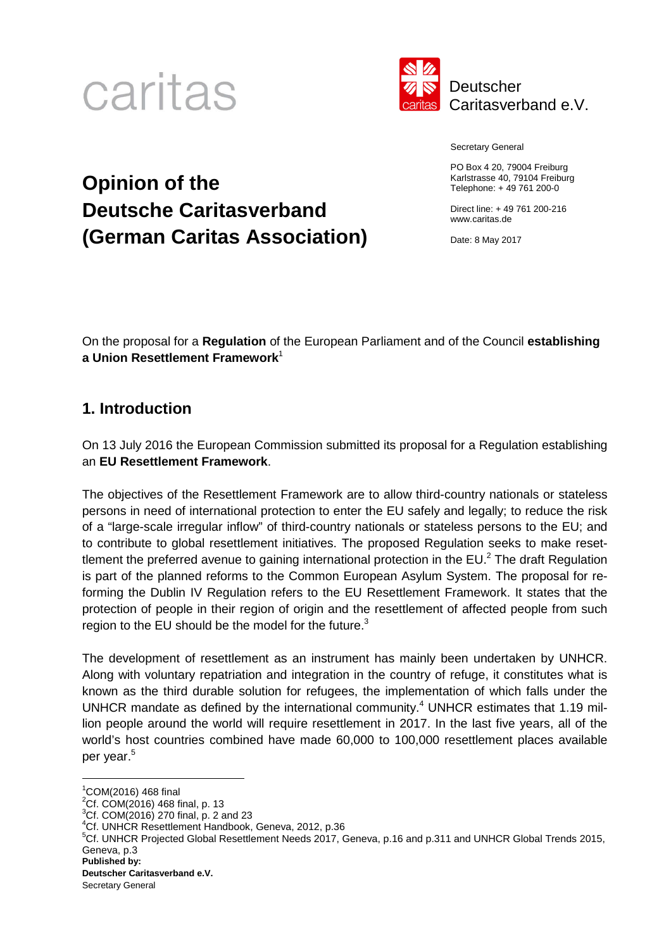



Secretary General

PO Box 4 20, 79004 Freiburg Karlstrasse 40, 79104 Freiburg Telephone: + 49 761 200-0

Direct line: + 49 761 200-216 www.caritas.de

Date: 8 May 2017

# **Opinion of the Deutsche Caritasverband (German Caritas Association)**

On the proposal for a **Regulation** of the European Parliament and of the Council **establishing a Union Resettlement Framework**<sup>1</sup>

# **1. Introduction**

On 13 July 2016 the European Commission submitted its proposal for a Regulation establishing an **EU Resettlement Framework**.

The objectives of the Resettlement Framework are to allow third-country nationals or stateless persons in need of international protection to enter the EU safely and legally; to reduce the risk of a "large-scale irregular inflow" of third-country nationals or stateless persons to the EU; and to contribute to global resettlement initiatives. The proposed Regulation seeks to make resettlement the preferred avenue to gaining international protection in the EU.<sup>2</sup> The draft Regulation is part of the planned reforms to the Common European Asylum System. The proposal for reforming the Dublin IV Regulation refers to the EU Resettlement Framework. It states that the protection of people in their region of origin and the resettlement of affected people from such region to the EU should be the model for the future. $3$ 

The development of resettlement as an instrument has mainly been undertaken by UNHCR. Along with voluntary repatriation and integration in the country of refuge, it constitutes what is known as the third durable solution for refugees, the implementation of which falls under the UNHCR mandate as defined by the international community.<sup>4</sup> UNHCR estimates that 1.19 million people around the world will require resettlement in 2017. In the last five years, all of the world's host countries combined have made 60,000 to 100,000 resettlement places available per year.<sup>5</sup>

**Deutscher Caritasverband e.V.** 

 $1^{\circ}$ COM(2016) 468 final

 $^{2}$ Cf. COM(2016) 468 final, p. 13

<sup>3</sup>Cf. COM(2016) 270 final, p. 2 and 23

<sup>4</sup>Cf. UNHCR Resettlement Handbook, Geneva, 2012, p.36

**Published by:**  <sup>5</sup>Cf. UNHCR Projected Global Resettlement Needs 2017, Geneva, p.16 and p.311 and UNHCR Global Trends 2015, Geneva, p.3

Secretary General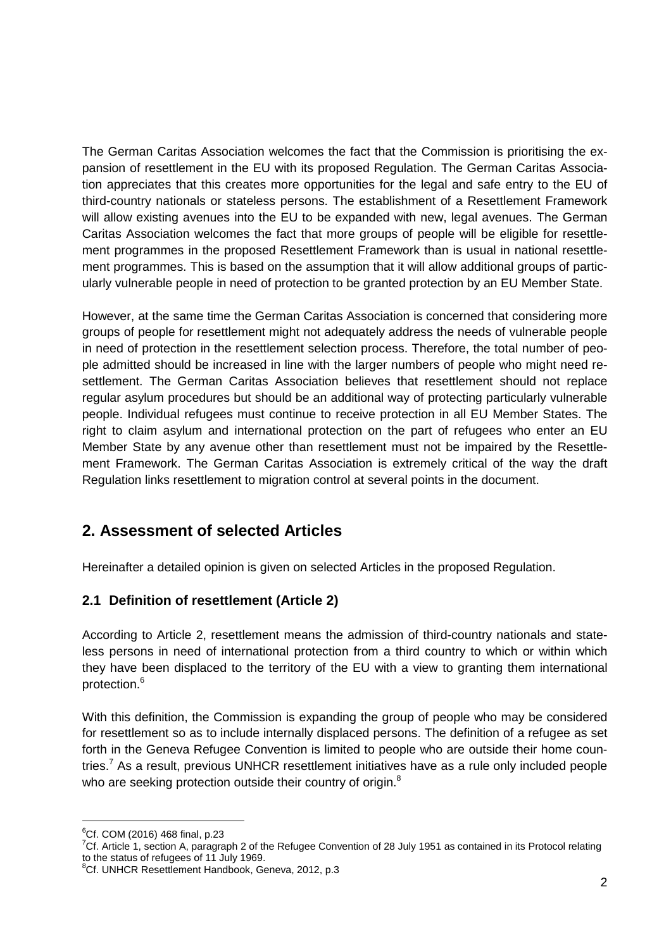The German Caritas Association welcomes the fact that the Commission is prioritising the expansion of resettlement in the EU with its proposed Regulation. The German Caritas Association appreciates that this creates more opportunities for the legal and safe entry to the EU of third-country nationals or stateless persons. The establishment of a Resettlement Framework will allow existing avenues into the EU to be expanded with new, legal avenues. The German Caritas Association welcomes the fact that more groups of people will be eligible for resettlement programmes in the proposed Resettlement Framework than is usual in national resettlement programmes. This is based on the assumption that it will allow additional groups of particularly vulnerable people in need of protection to be granted protection by an EU Member State.

However, at the same time the German Caritas Association is concerned that considering more groups of people for resettlement might not adequately address the needs of vulnerable people in need of protection in the resettlement selection process. Therefore, the total number of people admitted should be increased in line with the larger numbers of people who might need resettlement. The German Caritas Association believes that resettlement should not replace regular asylum procedures but should be an additional way of protecting particularly vulnerable people. Individual refugees must continue to receive protection in all EU Member States. The right to claim asylum and international protection on the part of refugees who enter an EU Member State by any avenue other than resettlement must not be impaired by the Resettlement Framework. The German Caritas Association is extremely critical of the way the draft Regulation links resettlement to migration control at several points in the document.

# **2. Assessment of selected Articles**

Hereinafter a detailed opinion is given on selected Articles in the proposed Regulation.

## **2.1 Definition of resettlement (Article 2)**

According to Article 2, resettlement means the admission of third-country nationals and stateless persons in need of international protection from a third country to which or within which they have been displaced to the territory of the EU with a view to granting them international protection.<sup>6</sup>

With this definition, the Commission is expanding the group of people who may be considered for resettlement so as to include internally displaced persons. The definition of a refugee as set forth in the Geneva Refugee Convention is limited to people who are outside their home countries.<sup>7</sup> As a result, previous UNHCR resettlement initiatives have as a rule only included people who are seeking protection outside their country of origin.<sup>8</sup>

 $^{6}$ Cf. COM (2016) 468 final, p.23

<sup>7</sup>Cf. Article 1, section A, paragraph 2 of the Refugee Convention of 28 July 1951 as contained in its Protocol relating to the status of refugees of 11 July 1969.

<sup>&</sup>lt;sup>8</sup>Cf. UNHCR Resettlement Handbook, Geneva, 2012, p.3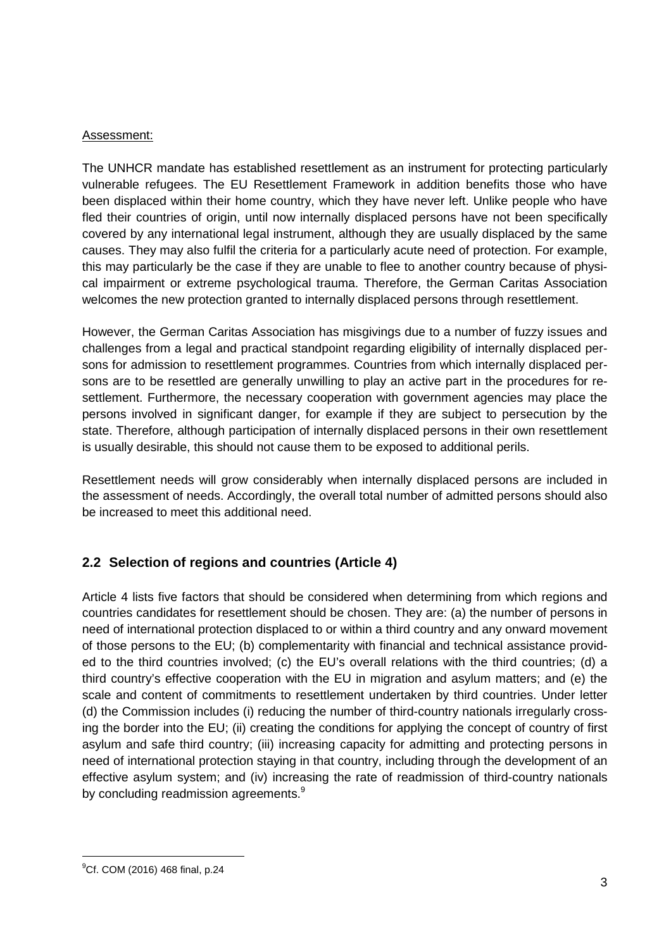### Assessment:

The UNHCR mandate has established resettlement as an instrument for protecting particularly vulnerable refugees. The EU Resettlement Framework in addition benefits those who have been displaced within their home country, which they have never left. Unlike people who have fled their countries of origin, until now internally displaced persons have not been specifically covered by any international legal instrument, although they are usually displaced by the same causes. They may also fulfil the criteria for a particularly acute need of protection. For example, this may particularly be the case if they are unable to flee to another country because of physical impairment or extreme psychological trauma. Therefore, the German Caritas Association welcomes the new protection granted to internally displaced persons through resettlement.

However, the German Caritas Association has misgivings due to a number of fuzzy issues and challenges from a legal and practical standpoint regarding eligibility of internally displaced persons for admission to resettlement programmes. Countries from which internally displaced persons are to be resettled are generally unwilling to play an active part in the procedures for resettlement. Furthermore, the necessary cooperation with government agencies may place the persons involved in significant danger, for example if they are subject to persecution by the state. Therefore, although participation of internally displaced persons in their own resettlement is usually desirable, this should not cause them to be exposed to additional perils.

Resettlement needs will grow considerably when internally displaced persons are included in the assessment of needs. Accordingly, the overall total number of admitted persons should also be increased to meet this additional need.

## **2.2 Selection of regions and countries (Article 4)**

Article 4 lists five factors that should be considered when determining from which regions and countries candidates for resettlement should be chosen. They are: (a) the number of persons in need of international protection displaced to or within a third country and any onward movement of those persons to the EU; (b) complementarity with financial and technical assistance provided to the third countries involved; (c) the EU's overall relations with the third countries; (d) a third country's effective cooperation with the EU in migration and asylum matters; and (e) the scale and content of commitments to resettlement undertaken by third countries. Under letter (d) the Commission includes (i) reducing the number of third-country nationals irregularly crossing the border into the EU; (ii) creating the conditions for applying the concept of country of first asylum and safe third country; (iii) increasing capacity for admitting and protecting persons in need of international protection staying in that country, including through the development of an effective asylum system; and (iv) increasing the rate of readmission of third-country nationals by concluding readmission agreements.<sup>9</sup>

<sup>&</sup>lt;sup>9</sup>Cf. COM (2016) 468 final, p.24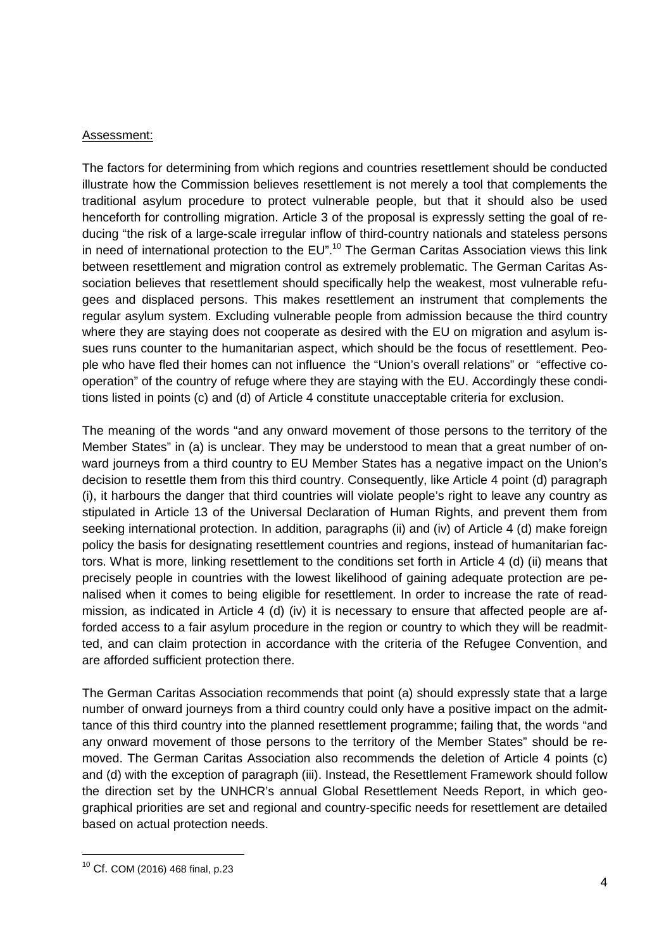#### Assessment:

The factors for determining from which regions and countries resettlement should be conducted illustrate how the Commission believes resettlement is not merely a tool that complements the traditional asylum procedure to protect vulnerable people, but that it should also be used henceforth for controlling migration. Article 3 of the proposal is expressly setting the goal of reducing "the risk of a large-scale irregular inflow of third-country nationals and stateless persons in need of international protection to the EU".<sup>10</sup> The German Caritas Association views this link between resettlement and migration control as extremely problematic. The German Caritas Association believes that resettlement should specifically help the weakest, most vulnerable refugees and displaced persons. This makes resettlement an instrument that complements the regular asylum system. Excluding vulnerable people from admission because the third country where they are staying does not cooperate as desired with the EU on migration and asylum issues runs counter to the humanitarian aspect, which should be the focus of resettlement. People who have fled their homes can not influence the "Union's overall relations" or "effective cooperation" of the country of refuge where they are staying with the EU. Accordingly these conditions listed in points (c) and (d) of Article 4 constitute unacceptable criteria for exclusion.

The meaning of the words "and any onward movement of those persons to the territory of the Member States" in (a) is unclear. They may be understood to mean that a great number of onward journeys from a third country to EU Member States has a negative impact on the Union's decision to resettle them from this third country. Consequently, like Article 4 point (d) paragraph (i), it harbours the danger that third countries will violate people's right to leave any country as stipulated in Article 13 of the Universal Declaration of Human Rights, and prevent them from seeking international protection. In addition, paragraphs (ii) and (iv) of Article 4 (d) make foreign policy the basis for designating resettlement countries and regions, instead of humanitarian factors. What is more, linking resettlement to the conditions set forth in Article 4 (d) (ii) means that precisely people in countries with the lowest likelihood of gaining adequate protection are penalised when it comes to being eligible for resettlement. In order to increase the rate of readmission, as indicated in Article 4 (d) (iv) it is necessary to ensure that affected people are afforded access to a fair asylum procedure in the region or country to which they will be readmitted, and can claim protection in accordance with the criteria of the Refugee Convention, and are afforded sufficient protection there.

The German Caritas Association recommends that point (a) should expressly state that a large number of onward journeys from a third country could only have a positive impact on the admittance of this third country into the planned resettlement programme; failing that, the words "and any onward movement of those persons to the territory of the Member States" should be removed. The German Caritas Association also recommends the deletion of Article 4 points (c) and (d) with the exception of paragraph (iii). Instead, the Resettlement Framework should follow the direction set by the UNHCR's annual Global Resettlement Needs Report, in which geographical priorities are set and regional and country-specific needs for resettlement are detailed based on actual protection needs.

<sup>10</sup> Cf. COM (2016) 468 final, p.23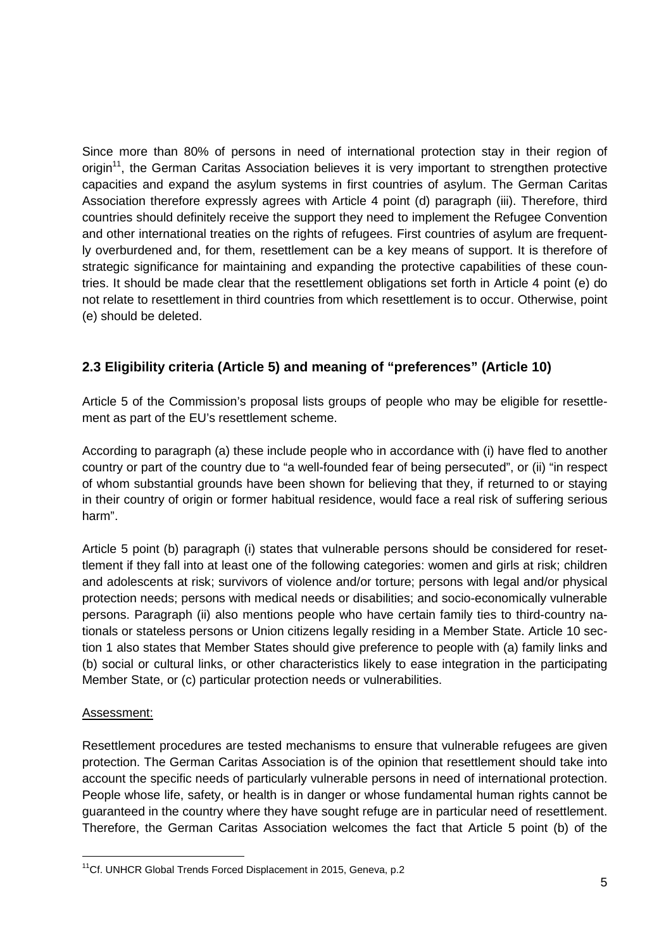Since more than 80% of persons in need of international protection stay in their region of origin<sup>11</sup>, the German Caritas Association believes it is very important to strengthen protective capacities and expand the asylum systems in first countries of asylum. The German Caritas Association therefore expressly agrees with Article 4 point (d) paragraph (iii). Therefore, third countries should definitely receive the support they need to implement the Refugee Convention and other international treaties on the rights of refugees. First countries of asylum are frequently overburdened and, for them, resettlement can be a key means of support. It is therefore of strategic significance for maintaining and expanding the protective capabilities of these countries. It should be made clear that the resettlement obligations set forth in Article 4 point (e) do not relate to resettlement in third countries from which resettlement is to occur. Otherwise, point (e) should be deleted.

# **2.3 Eligibility criteria (Article 5) and meaning of "preferences" (Article 10)**

Article 5 of the Commission's proposal lists groups of people who may be eligible for resettlement as part of the EU's resettlement scheme.

According to paragraph (a) these include people who in accordance with (i) have fled to another country or part of the country due to "a well-founded fear of being persecuted", or (ii) "in respect of whom substantial grounds have been shown for believing that they, if returned to or staying in their country of origin or former habitual residence, would face a real risk of suffering serious harm".

Article 5 point (b) paragraph (i) states that vulnerable persons should be considered for resettlement if they fall into at least one of the following categories: women and girls at risk; children and adolescents at risk; survivors of violence and/or torture; persons with legal and/or physical protection needs; persons with medical needs or disabilities; and socio-economically vulnerable persons. Paragraph (ii) also mentions people who have certain family ties to third-country nationals or stateless persons or Union citizens legally residing in a Member State. Article 10 section 1 also states that Member States should give preference to people with (a) family links and (b) social or cultural links, or other characteristics likely to ease integration in the participating Member State, or (c) particular protection needs or vulnerabilities.

#### Assessment:

Resettlement procedures are tested mechanisms to ensure that vulnerable refugees are given protection. The German Caritas Association is of the opinion that resettlement should take into account the specific needs of particularly vulnerable persons in need of international protection. People whose life, safety, or health is in danger or whose fundamental human rights cannot be guaranteed in the country where they have sought refuge are in particular need of resettlement. Therefore, the German Caritas Association welcomes the fact that Article 5 point (b) of the

<sup>&</sup>lt;sup>11</sup>Cf. UNHCR Global Trends Forced Displacement in 2015, Geneva, p.2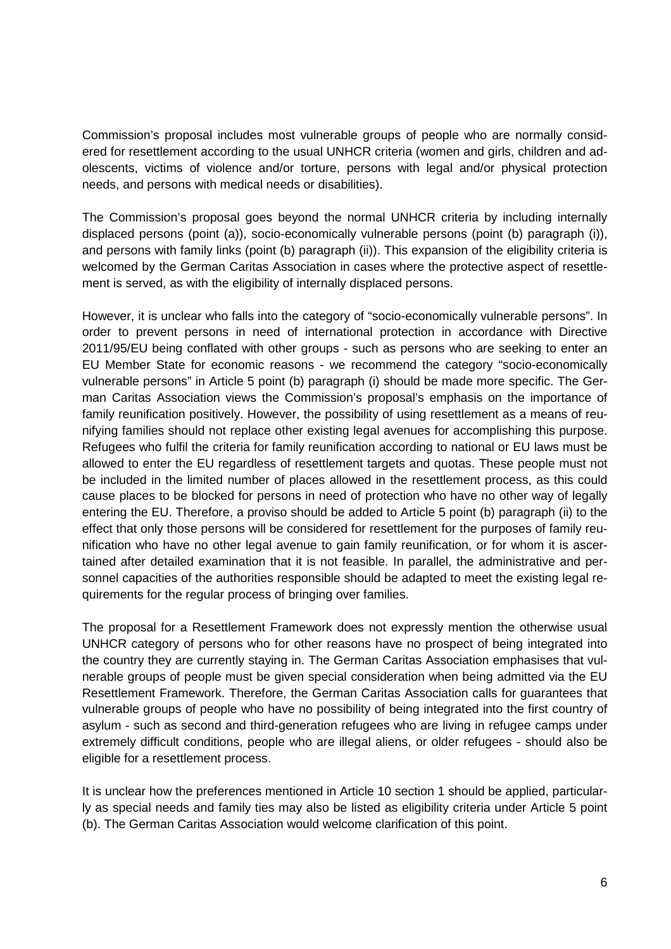Commission's proposal includes most vulnerable groups of people who are normally considered for resettlement according to the usual UNHCR criteria (women and girls, children and adolescents, victims of violence and/or torture, persons with legal and/or physical protection needs, and persons with medical needs or disabilities).

The Commission's proposal goes beyond the normal UNHCR criteria by including internally displaced persons (point (a)), socio-economically vulnerable persons (point (b) paragraph (i)), and persons with family links (point (b) paragraph (ii)). This expansion of the eligibility criteria is welcomed by the German Caritas Association in cases where the protective aspect of resettlement is served, as with the eligibility of internally displaced persons.

However, it is unclear who falls into the category of "socio-economically vulnerable persons". In order to prevent persons in need of international protection in accordance with Directive 2011/95/EU being conflated with other groups - such as persons who are seeking to enter an EU Member State for economic reasons - we recommend the category "socio-economically vulnerable persons" in Article 5 point (b) paragraph (i) should be made more specific. The German Caritas Association views the Commission's proposal's emphasis on the importance of family reunification positively. However, the possibility of using resettlement as a means of reunifying families should not replace other existing legal avenues for accomplishing this purpose. Refugees who fulfil the criteria for family reunification according to national or EU laws must be allowed to enter the EU regardless of resettlement targets and quotas. These people must not be included in the limited number of places allowed in the resettlement process, as this could cause places to be blocked for persons in need of protection who have no other way of legally entering the EU. Therefore, a proviso should be added to Article 5 point (b) paragraph (ii) to the effect that only those persons will be considered for resettlement for the purposes of family reunification who have no other legal avenue to gain family reunification, or for whom it is ascertained after detailed examination that it is not feasible. In parallel, the administrative and personnel capacities of the authorities responsible should be adapted to meet the existing legal requirements for the regular process of bringing over families.

The proposal for a Resettlement Framework does not expressly mention the otherwise usual UNHCR category of persons who for other reasons have no prospect of being integrated into the country they are currently staying in. The German Caritas Association emphasises that vulnerable groups of people must be given special consideration when being admitted via the EU Resettlement Framework. Therefore, the German Caritas Association calls for guarantees that vulnerable groups of people who have no possibility of being integrated into the first country of asylum - such as second and third-generation refugees who are living in refugee camps under extremely difficult conditions, people who are illegal aliens, or older refugees - should also be eligible for a resettlement process.

It is unclear how the preferences mentioned in Article 10 section 1 should be applied, particularly as special needs and family ties may also be listed as eligibility criteria under Article 5 point (b). The German Caritas Association would welcome clarification of this point.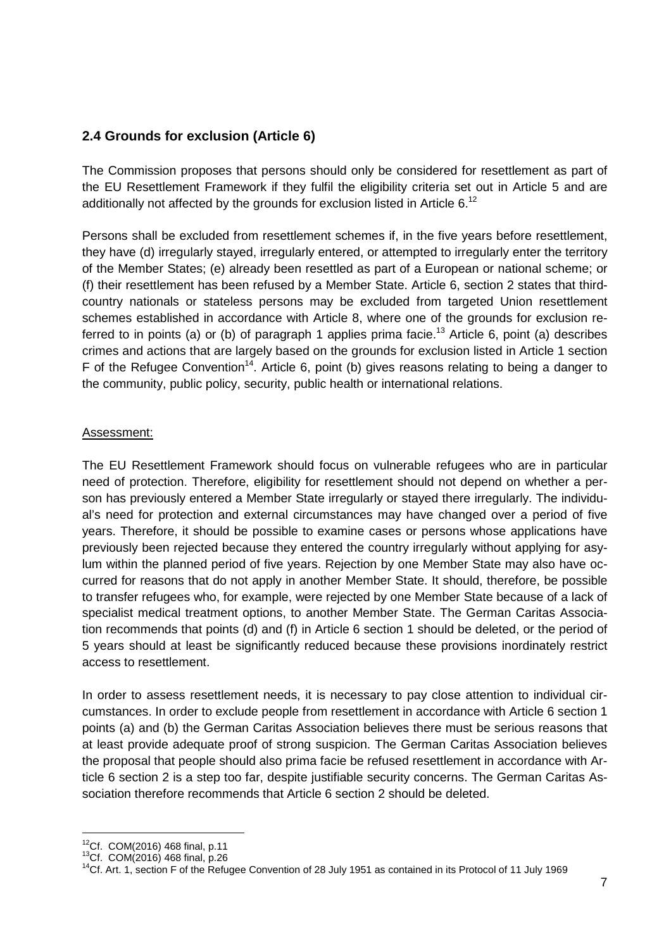## **2.4 Grounds for exclusion (Article 6)**

The Commission proposes that persons should only be considered for resettlement as part of the EU Resettlement Framework if they fulfil the eligibility criteria set out in Article 5 and are additionally not affected by the grounds for exclusion listed in Article 6.<sup>12</sup>

Persons shall be excluded from resettlement schemes if, in the five years before resettlement, they have (d) irregularly stayed, irregularly entered, or attempted to irregularly enter the territory of the Member States; (e) already been resettled as part of a European or national scheme; or (f) their resettlement has been refused by a Member State. Article 6, section 2 states that thirdcountry nationals or stateless persons may be excluded from targeted Union resettlement schemes established in accordance with Article 8, where one of the grounds for exclusion referred to in points (a) or (b) of paragraph 1 applies prima facie.<sup>13</sup> Article 6, point (a) describes crimes and actions that are largely based on the grounds for exclusion listed in Article 1 section F of the Refugee Convention<sup>14</sup>. Article 6, point (b) gives reasons relating to being a danger to the community, public policy, security, public health or international relations.

## Assessment:

The EU Resettlement Framework should focus on vulnerable refugees who are in particular need of protection. Therefore, eligibility for resettlement should not depend on whether a person has previously entered a Member State irregularly or stayed there irregularly. The individual's need for protection and external circumstances may have changed over a period of five years. Therefore, it should be possible to examine cases or persons whose applications have previously been rejected because they entered the country irregularly without applying for asylum within the planned period of five years. Rejection by one Member State may also have occurred for reasons that do not apply in another Member State. It should, therefore, be possible to transfer refugees who, for example, were rejected by one Member State because of a lack of specialist medical treatment options, to another Member State. The German Caritas Association recommends that points (d) and (f) in Article 6 section 1 should be deleted, or the period of 5 years should at least be significantly reduced because these provisions inordinately restrict access to resettlement.

In order to assess resettlement needs, it is necessary to pay close attention to individual circumstances. In order to exclude people from resettlement in accordance with Article 6 section 1 points (a) and (b) the German Caritas Association believes there must be serious reasons that at least provide adequate proof of strong suspicion. The German Caritas Association believes the proposal that people should also prima facie be refused resettlement in accordance with Article 6 section 2 is a step too far, despite justifiable security concerns. The German Caritas Association therefore recommends that Article 6 section 2 should be deleted.

 $12$ Cf. COM(2016) 468 final, p.11

<sup>13</sup>Cf. COM(2016) 468 final, p.26

<sup>&</sup>lt;sup>14</sup>Cf. Art. 1, section F of the Refugee Convention of 28 July 1951 as contained in its Protocol of 11 July 1969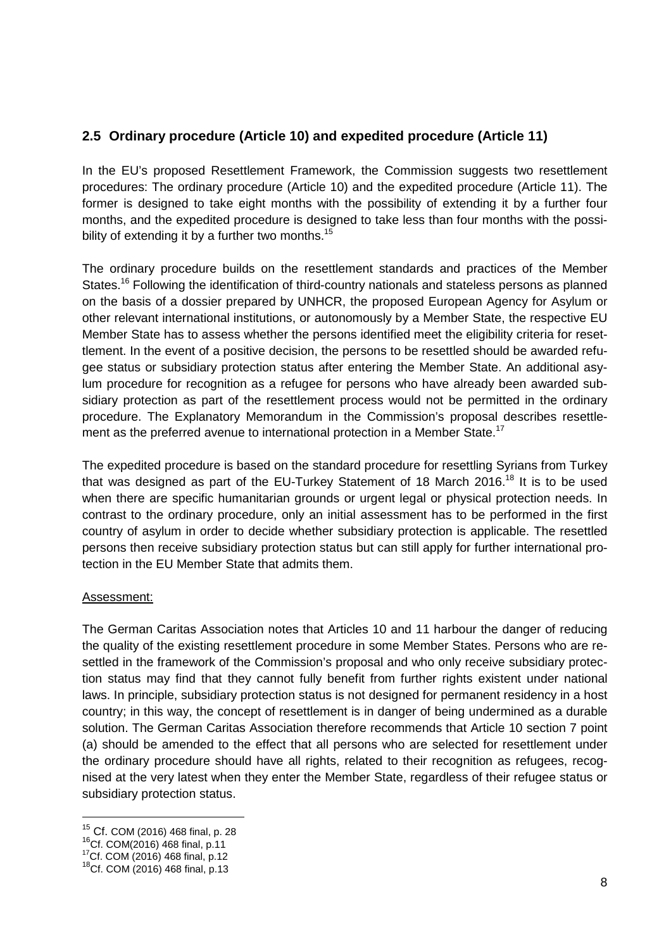## **2.5 Ordinary procedure (Article 10) and expedited procedure (Article 11)**

In the EU's proposed Resettlement Framework, the Commission suggests two resettlement procedures: The ordinary procedure (Article 10) and the expedited procedure (Article 11). The former is designed to take eight months with the possibility of extending it by a further four months, and the expedited procedure is designed to take less than four months with the possibility of extending it by a further two months. $15$ 

The ordinary procedure builds on the resettlement standards and practices of the Member States.<sup>16</sup> Following the identification of third-country nationals and stateless persons as planned on the basis of a dossier prepared by UNHCR, the proposed European Agency for Asylum or other relevant international institutions, or autonomously by a Member State, the respective EU Member State has to assess whether the persons identified meet the eligibility criteria for resettlement. In the event of a positive decision, the persons to be resettled should be awarded refugee status or subsidiary protection status after entering the Member State. An additional asylum procedure for recognition as a refugee for persons who have already been awarded subsidiary protection as part of the resettlement process would not be permitted in the ordinary procedure. The Explanatory Memorandum in the Commission's proposal describes resettlement as the preferred avenue to international protection in a Member State.<sup>17</sup>

The expedited procedure is based on the standard procedure for resettling Syrians from Turkey that was designed as part of the EU-Turkey Statement of 18 March 2016.<sup>18</sup> It is to be used when there are specific humanitarian grounds or urgent legal or physical protection needs. In contrast to the ordinary procedure, only an initial assessment has to be performed in the first country of asylum in order to decide whether subsidiary protection is applicable. The resettled persons then receive subsidiary protection status but can still apply for further international protection in the EU Member State that admits them.

## Assessment:

 $\overline{a}$ 

The German Caritas Association notes that Articles 10 and 11 harbour the danger of reducing the quality of the existing resettlement procedure in some Member States. Persons who are resettled in the framework of the Commission's proposal and who only receive subsidiary protection status may find that they cannot fully benefit from further rights existent under national laws. In principle, subsidiary protection status is not designed for permanent residency in a host country; in this way, the concept of resettlement is in danger of being undermined as a durable solution. The German Caritas Association therefore recommends that Article 10 section 7 point (a) should be amended to the effect that all persons who are selected for resettlement under the ordinary procedure should have all rights, related to their recognition as refugees, recognised at the very latest when they enter the Member State, regardless of their refugee status or subsidiary protection status.

<sup>15</sup> Cf. COM (2016) 468 final, p. 28

<sup>16</sup>Cf. COM(2016) 468 final, p.11

<sup>17</sup>Cf. COM (2016) 468 final, p.12

<sup>18</sup>Cf. COM (2016) 468 final, p.13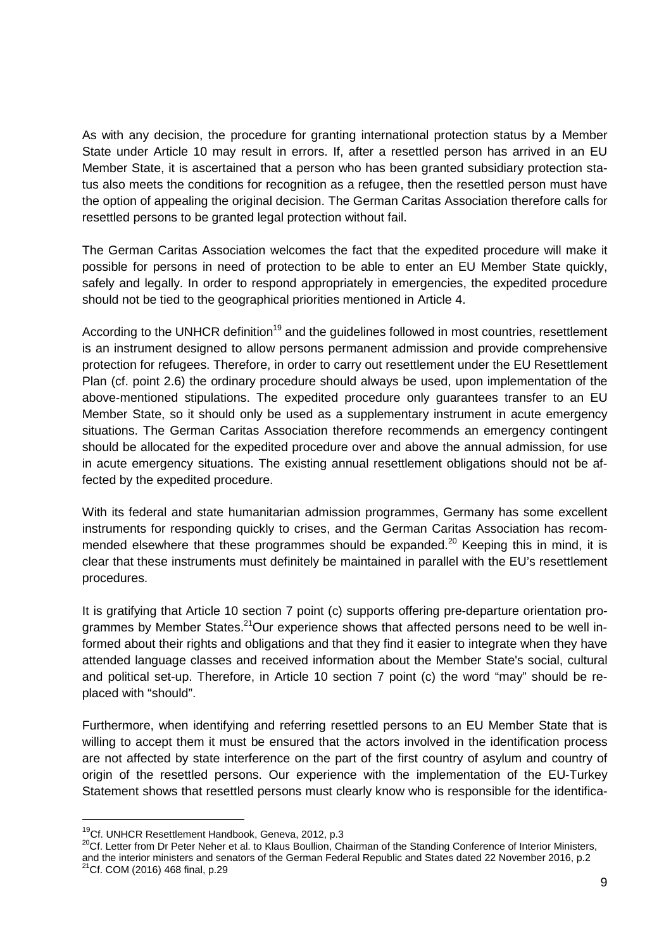As with any decision, the procedure for granting international protection status by a Member State under Article 10 may result in errors. If, after a resettled person has arrived in an EU Member State, it is ascertained that a person who has been granted subsidiary protection status also meets the conditions for recognition as a refugee, then the resettled person must have the option of appealing the original decision. The German Caritas Association therefore calls for resettled persons to be granted legal protection without fail.

The German Caritas Association welcomes the fact that the expedited procedure will make it possible for persons in need of protection to be able to enter an EU Member State quickly, safely and legally. In order to respond appropriately in emergencies, the expedited procedure should not be tied to the geographical priorities mentioned in Article 4.

According to the UNHCR definition<sup>19</sup> and the guidelines followed in most countries, resettlement is an instrument designed to allow persons permanent admission and provide comprehensive protection for refugees. Therefore, in order to carry out resettlement under the EU Resettlement Plan (cf. point 2.6) the ordinary procedure should always be used, upon implementation of the above-mentioned stipulations. The expedited procedure only guarantees transfer to an EU Member State, so it should only be used as a supplementary instrument in acute emergency situations. The German Caritas Association therefore recommends an emergency contingent should be allocated for the expedited procedure over and above the annual admission, for use in acute emergency situations. The existing annual resettlement obligations should not be affected by the expedited procedure.

With its federal and state humanitarian admission programmes, Germany has some excellent instruments for responding quickly to crises, and the German Caritas Association has recommended elsewhere that these programmes should be expanded.<sup>20</sup> Keeping this in mind, it is clear that these instruments must definitely be maintained in parallel with the EU's resettlement procedures.

It is gratifying that Article 10 section 7 point (c) supports offering pre-departure orientation programmes by Member States.<sup>21</sup>Our experience shows that affected persons need to be well informed about their rights and obligations and that they find it easier to integrate when they have attended language classes and received information about the Member State's social, cultural and political set-up. Therefore, in Article 10 section 7 point (c) the word "may" should be replaced with "should".

Furthermore, when identifying and referring resettled persons to an EU Member State that is willing to accept them it must be ensured that the actors involved in the identification process are not affected by state interference on the part of the first country of asylum and country of origin of the resettled persons. Our experience with the implementation of the EU-Turkey Statement shows that resettled persons must clearly know who is responsible for the identifica-

<sup>&</sup>lt;sup>19</sup>Cf. UNHCR Resettlement Handbook, Geneva, 2012, p.3

<sup>&</sup>lt;sup>20</sup>Cf. Letter from Dr Peter Neher et al. to Klaus Boullion, Chairman of the Standing Conference of Interior Ministers, and the interior ministers and senators of the German Federal Republic and States dated 22 November 2016, p.2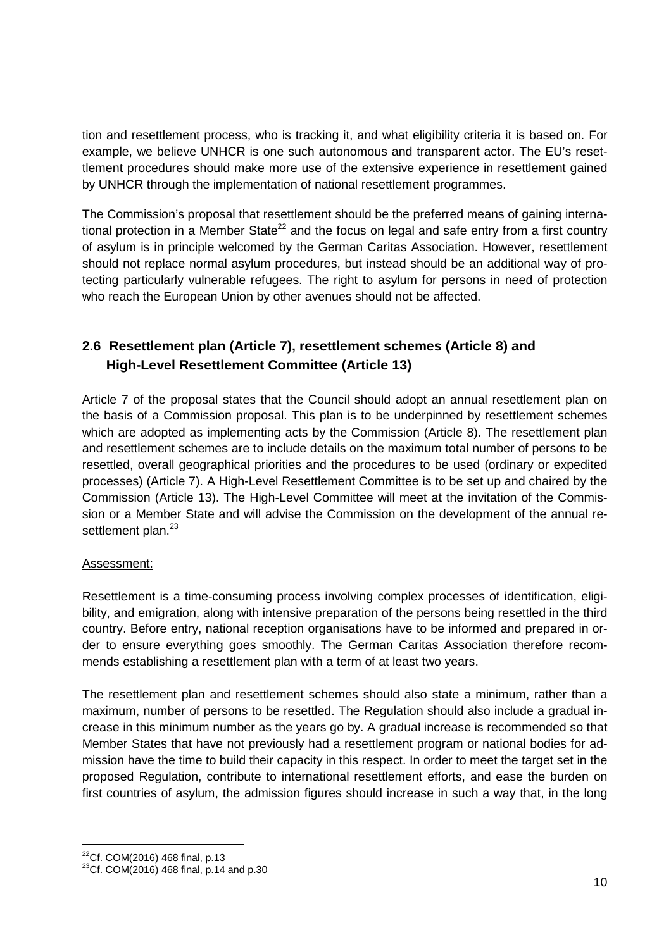tion and resettlement process, who is tracking it, and what eligibility criteria it is based on. For example, we believe UNHCR is one such autonomous and transparent actor. The EU's resettlement procedures should make more use of the extensive experience in resettlement gained by UNHCR through the implementation of national resettlement programmes.

The Commission's proposal that resettlement should be the preferred means of gaining international protection in a Member State<sup>22</sup> and the focus on legal and safe entry from a first country of asylum is in principle welcomed by the German Caritas Association. However, resettlement should not replace normal asylum procedures, but instead should be an additional way of protecting particularly vulnerable refugees. The right to asylum for persons in need of protection who reach the European Union by other avenues should not be affected.

# **2.6 Resettlement plan (Article 7), resettlement schemes (Article 8) and High-Level Resettlement Committee (Article 13)**

Article 7 of the proposal states that the Council should adopt an annual resettlement plan on the basis of a Commission proposal. This plan is to be underpinned by resettlement schemes which are adopted as implementing acts by the Commission (Article 8). The resettlement plan and resettlement schemes are to include details on the maximum total number of persons to be resettled, overall geographical priorities and the procedures to be used (ordinary or expedited processes) (Article 7). A High-Level Resettlement Committee is to be set up and chaired by the Commission (Article 13). The High-Level Committee will meet at the invitation of the Commission or a Member State and will advise the Commission on the development of the annual resettlement plan.<sup>23</sup>

## Assessment:

Resettlement is a time-consuming process involving complex processes of identification, eligibility, and emigration, along with intensive preparation of the persons being resettled in the third country. Before entry, national reception organisations have to be informed and prepared in order to ensure everything goes smoothly. The German Caritas Association therefore recommends establishing a resettlement plan with a term of at least two years.

The resettlement plan and resettlement schemes should also state a minimum, rather than a maximum, number of persons to be resettled. The Regulation should also include a gradual increase in this minimum number as the years go by. A gradual increase is recommended so that Member States that have not previously had a resettlement program or national bodies for admission have the time to build their capacity in this respect. In order to meet the target set in the proposed Regulation, contribute to international resettlement efforts, and ease the burden on first countries of asylum, the admission figures should increase in such a way that, in the long

 $^{22}$ Cf. COM(2016) 468 final, p.13

 $23$ Cf. COM $(2016)$  468 final, p.14 and p.30